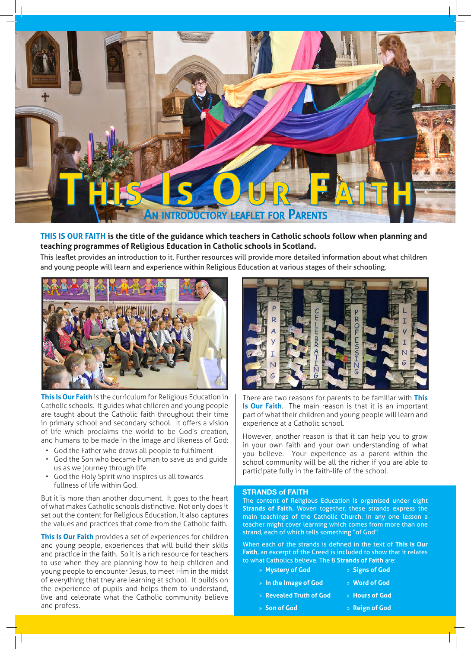

### **THIS IS OUR FAITH is the title of the guidance which teachers in Catholic schools follow when planning and teaching programmes of Religious Education in Catholic schools in Scotland.**

This leaflet provides an introduction to it. Further resources will provide more detailed information about what children and young people will learn and experience within Religious Education at various stages of their schooling.



**This Is Our Faith** is the curriculum for Religious Education in Catholic schools. It guides what children and young people are taught about the Catholic faith throughout their time in primary school and secondary school. It offers a vision of life which proclaims the world to be God's creation, and humans to be made in the image and likeness of God:

- God the Father who draws all people to fulfilment
- God the Son who became human to save us and guide us as we journey through life
- God the Holy Spirit who inspires us all towards fullness of life within God.

But it is more than another document. It goes to the heart of what makes Catholic schools distinctive. Not only does it set out the content for Religious Education, it also captures the values and practices that come from the Catholic faith.

**This Is Our Faith** provides a set of experiences for children and young people, experiences that will build their skills and practice in the faith. So it is a rich resource for teachers to use when they are planning how to help children and young people to encounter Jesus, to meet Him in the midst of everything that they are learning at school. It builds on the experience of pupils and helps them to understand, live and celebrate what the Catholic community believe and profess.



There are two reasons for parents to be familiar with **This Is Our Faith**. The main reason is that it is an important part of what their children and young people will learn and experience at a Catholic school.

However, another reason is that it can help you to grow in your own faith and your own understanding of what you believe. Your experience as a parent within the school community will be all the richer if you are able to participate fully in the faith-life of the school.

### **STRANDS of FAITH**

The content of Religious Education is organised under eight **Strands of Faith.** Woven together, these strands express the main teachings of the Catholic Church. In any one lesson a teacher might cover learning which comes from more than one strand, each of which tells something "of God"

When each of the strands is defined in the text of **This Is Our Faith**, an excerpt of the Creed is included to show that it relates to what Catholics believe. The 8 **Strands of Faith** are:

- » **Mystery of God** » **Signs of God**
- » **In the Image of God** » **Word of God**
	- » **Hours of God**
- » **Revealed Truth of God**
- » **Son of God**
- » **Reign of God**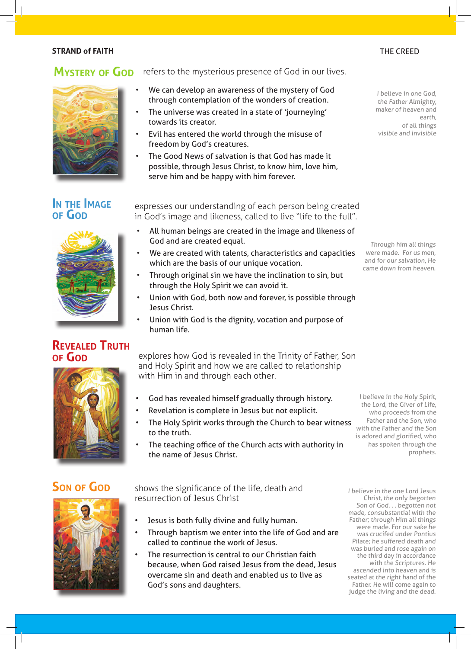### **STRAND of FAITH** THE CREED AND THE CREED AND THE CREED AND THE CREED.

## **MYSTERY OF GOD** refers to the mysterious presence of God in our lives.



- We can develop an awareness of the mystery of God through contemplation of the wonders of creation.
- The universe was created in a state of 'journeying' towards its creator.
- Evil has entered the world through the misuse of freedom by God's creatures.
- The Good News of salvation is that God has made it possible, through Jesus Christ, to know him, love him, serve him and be happy with him forever.

## **In the Image of God**



## **Revealed Truth of God**

expresses our understanding of each person being created in God's image and likeness, called to live "life to the full".

- All human beings are created in the image and likeness of God and are created equal.
- We are created with talents, characteristics and capacities which are the basis of our unique vocation.
- Through original sin we have the inclination to sin, but through the Holy Spirit we can avoid it.
- Union with God, both now and forever, is possible through Jesus Christ.
- Union with God is the dignity, vocation and purpose of human life.

explores how God is revealed in the Trinity of Father, Son and Holy Spirit and how we are called to relationship with Him in and through each other.

- God has revealed himself gradually through history.
- Revelation is complete in Jesus but not explicit.
- The Holy Spirit works through the Church to bear witness to the truth.
- The teaching office of the Church acts with authority in the name of Jesus Christ.

**Son of God** shows the significance of the life, death and resurrection of Jesus Christ

- Jesus is both fully divine and fully human.
- Through baptism we enter into the life of God and are called to continue the work of Jesus.
- The resurrection is central to our Christian faith because, when God raised Jesus from the dead, Jesus overcame sin and death and enabled us to live as God's sons and daughters.

I believe in the one Lord Jesus Christ, the only begotten Son of God. . . begotten not made, consubstantial with the Father; through Him all things were made. For our sake he was crucifed under Pontius Pilate; he suffered death and was buried and rose again on the third day in accordance with the Scriptures. He ascended into heaven and is seated at the right hand of the Father. He will come again to judge the living and the dead.

I believe in one God, the Father Almighty, maker of heaven and earth, of all things visible and invisible

Through him all things were made. For us men, and for our salvation, He came down from heaven.

I believe in the Holy Spirit, the Lord, the Giver of Life, who proceeds from the Father and the Son, who with the Father and the Son is adored and glorified, who has spoken through the prophets.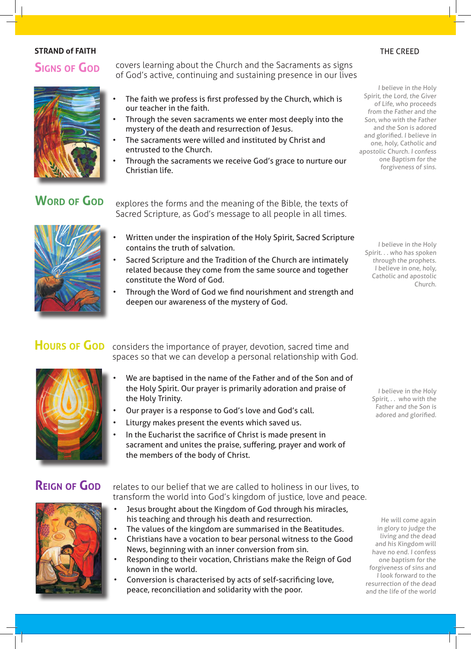### **STRAND of FAITH** THE CREED AND THE CREED AND THE CREED AND THE CREED AND THE CREED.

## **Signs of God**

covers learning about the Church and the Sacraments as signs of God's active, continuing and sustaining presence in our lives

- The faith we profess is first professed by the Church, which is our teacher in the faith.
- Through the seven sacraments we enter most deeply into the mystery of the death and resurrection of Jesus.
- The sacraments were willed and instituted by Christ and entrusted to the Church.
- Through the sacraments we receive God's grace to nurture our Christian life.

# **Word of God**

explores the forms and the meaning of the Bible, the texts of Sacred Scripture, as God's message to all people in all times.

- Written under the inspiration of the Holy Spirit, Sacred Scripture contains the truth of salvation.
- Sacred Scripture and the Tradition of the Church are intimately related because they come from the same source and together constitute the Word of God.
- Through the Word of God we find nourishment and strength and deepen our awareness of the mystery of God.

Hours of God considers the importance of prayer, devotion, sacred time and spaces so that we can develop a personal relationship with God.

- We are baptised in the name of the Father and of the Son and of the Holy Spirit. Our prayer is primarily adoration and praise of the Holy Trinity.
- Our prayer is a response to God's love and God's call.
- Liturgy makes present the events which saved us.
- In the Eucharist the sacrifice of Christ is made present in sacrament and unites the praise, suffering, prayer and work of the members of the body of Christ.

# **Reign of God**

relates to our belief that we are called to holiness in our lives, to transform the world into God's kingdom of justice, love and peace.

- Jesus brought about the Kingdom of God through his miracles, his teaching and through his death and resurrection.
- The values of the kingdom are summarised in the Beatitudes.
- Christians have a vocation to bear personal witness to the Good News, beginning with an inner conversion from sin.
- Responding to their vocation, Christians make the Reign of God known in the world.
- Conversion is characterised by acts of self-sacrificing love, peace, reconciliation and solidarity with the poor.

I believe in the Holy Spirit, the Lord, the Giver of Life, who proceeds from the Father and the Son, who with the Father and the Son is adored and glorified. I believe in one, holy, Catholic and apostolic Church. I confess one Baptism for the forgiveness of sins.

I believe in the Holy Spirit. . . who has spoken through the prophets. I believe in one, holy, Catholic and apostolic Church.

I believe in the Holy Spirit, . . who with the Father and the Son is adored and glorified.

He will come again in glory to judge the living and the dead and his Kingdom will have no end. I confess one baptism for the forgiveness of sins and I look forward to the resurrection of the dead and the life of the world